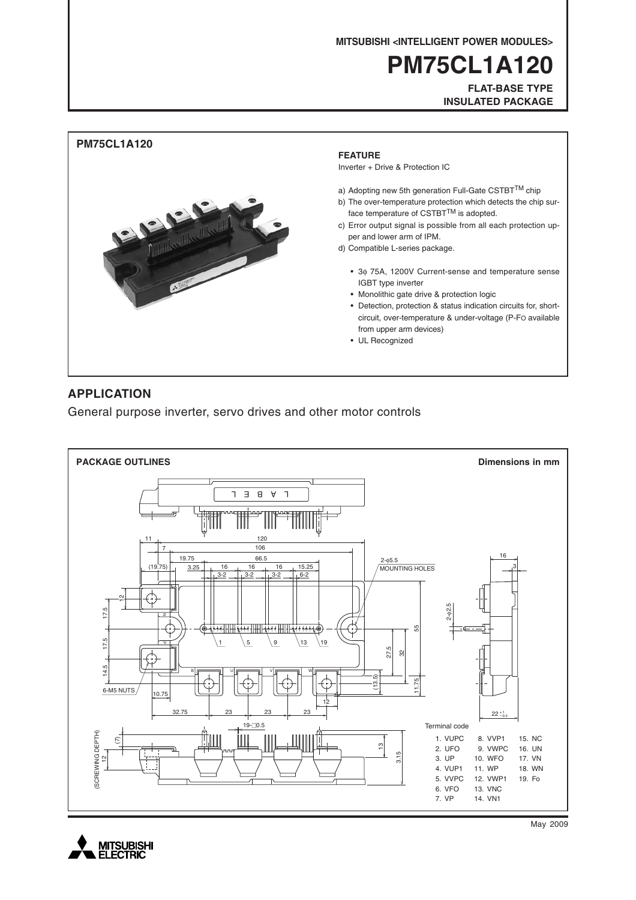**MITSUBISHI <INTELLIGENT POWER MODULES>**

# **PM75CL1A120**

**FLAT-BASE TYPE INSULATED PACKAGE**



### **APPLICATION**

General purpose inverter, servo drives and other motor controls





May 2009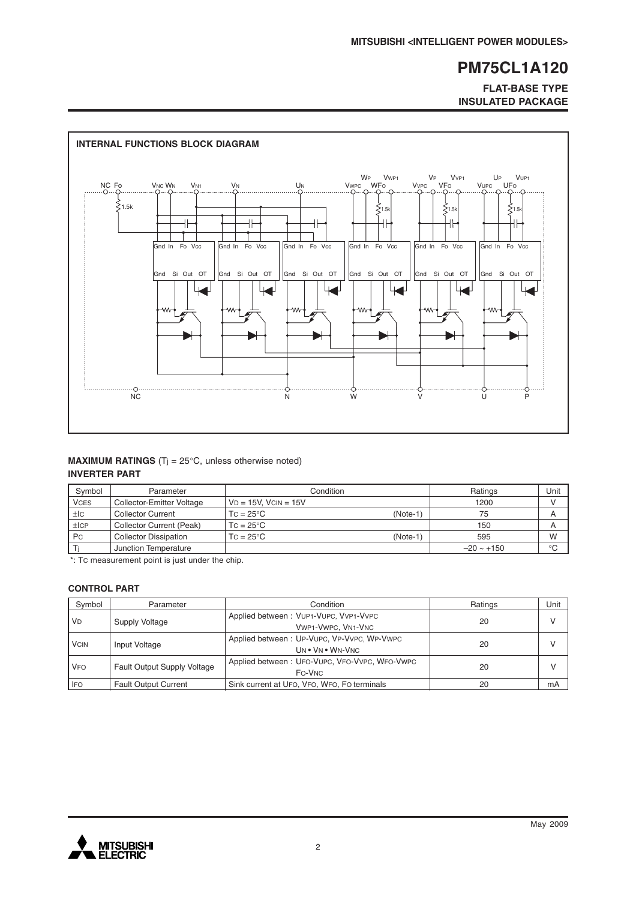#### **FLAT-BASE TYPE INSULATED PACKAGE**



#### **MAXIMUM RATINGS** (T<sub>j</sub> = 25°C, unless otherwise noted) **INVERTER PART**

| Symbol      | Parameter                    | Condition                      | Ratings         | Unit                    |
|-------------|------------------------------|--------------------------------|-----------------|-------------------------|
| <b>VCES</b> | Collector-Emitter Voltage    | $VD = 15V$ . $VCIN = 15V$      | 1200            |                         |
| $\pm$ IC    | <b>Collector Current</b>     | $TC = 25^{\circ}C$<br>(Note-1) | 75              | $\overline{\mathsf{A}}$ |
| ±ICP        | Collector Current (Peak)     | $TC = 25^{\circ}C$             | 150             | A                       |
| Pc          | <b>Collector Dissipation</b> | $TC = 25^{\circ}C$<br>(Note-1) | 595             | W                       |
|             | Junction Temperature         |                                | $-20 \sim +150$ | $^{\circ}C$             |

\*: TC measurement point is just under the chip.

#### **CONTROL PART**

| Symbol      | Parameter                   | Condition                                                      | Ratings | Unit         |
|-------------|-----------------------------|----------------------------------------------------------------|---------|--------------|
| <b>VD</b>   | Supply Voltage              | Applied between: VUP1-VUPC, VVP1-VVPC<br>VWP1-VWPC, VN1-VNC    | 20      | $\vee$       |
| <b>VCIN</b> | Input Voltage               | Applied between: UP-VUPC, VP-VVPC, WP-VWPC<br>UN . VN . WN-VNC | 20      | $\mathsf{V}$ |
| <b>VFO</b>  | Fault Output Supply Voltage | Applied between: UFO-VUPC, VFO-VVPC, WFO-VWPC<br>FO-VNC        | 20      |              |
| IFO         | <b>Fault Output Current</b> | Sink current at UFO, VFO, WFO, FO terminals                    | 20      | mA           |

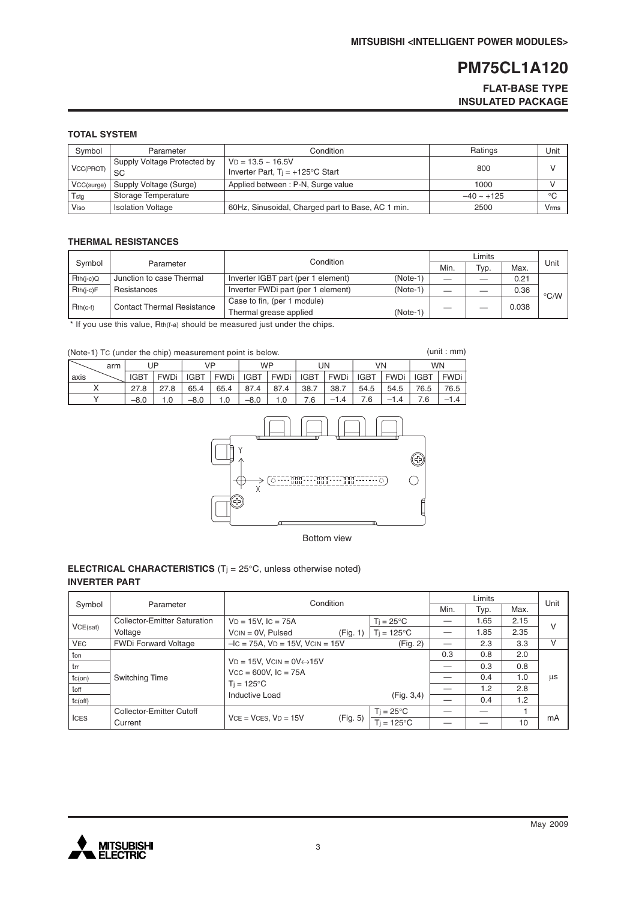**FLAT-BASE TYPE INSULATED PACKAGE**

#### **TOTAL SYSTEM**

| Symbol     | Parameter                                | Condition                                                        | Ratings         | Unit        |
|------------|------------------------------------------|------------------------------------------------------------------|-----------------|-------------|
| VCC(PROT)  | Supply Voltage Protected by<br><b>SC</b> | $VD = 13.5 - 16.5V$<br>Inverter Part, $Ti = +125^{\circ}C$ Start | 800             |             |
| VCC(surge) | Supply Voltage (Surge)                   | Applied between: P-N, Surge value                                | 1000            |             |
| Tstg       | Storage Temperature                      |                                                                  | $-40 \sim +125$ | $^{\circ}C$ |
| Viso       | <b>Isolation Voltage</b>                 | 60Hz, Sinusoidal, Charged part to Base, AC 1 min.                | 2500            | Vmms        |

#### **THERMAL RESISTANCES**

|             |                                   | Condition                          |            |      |      |       |                    |
|-------------|-----------------------------------|------------------------------------|------------|------|------|-------|--------------------|
| Symbol      | Parameter                         |                                    |            | Min. | Typ. | Max.  | Unit               |
| $Rth(i-c)Q$ | Junction to case Thermal          | Inverter IGBT part (per 1 element) | $(Note-1)$ |      |      | 0.21  |                    |
| $Rth(i-c)F$ | Resistances                       | Inverter FWDi part (per 1 element) | $(Note-1)$ |      |      | 0.36  | $\rm ^{\circ}$ C/W |
| $Rth(c-f)$  | <b>Contact Thermal Resistance</b> | Case to fin, (per 1 module)        |            |      |      |       |                    |
|             |                                   | Thermal grease applied             | $(Note-1)$ |      |      | 0.038 |                    |

\* If you use this value, Rth(f-a) should be measured just under the chips.

| (Note-1) Tc (under the chip) measurement point is below. |     |             |        |             |             |             |             |             |             | (unit : mm) |             |             |             |
|----------------------------------------------------------|-----|-------------|--------|-------------|-------------|-------------|-------------|-------------|-------------|-------------|-------------|-------------|-------------|
|                                                          | arm |             | JP     | VP          |             | <b>WP</b>   |             |             | UN          | VN          |             | <b>WN</b>   |             |
| axis                                                     |     | <b>IGBT</b> | FWDi ' | <b>IGBT</b> | <b>FWDi</b> | <b>IGBT</b> | <b>FWDi</b> | <b>IGBT</b> | <b>FWDi</b> | <b>IGBT</b> | <b>FWDi</b> | <b>IGBT</b> | <b>FWDi</b> |
|                                                          |     | 27.8        | 27.8   | 65.4        | 65.4        | 87.4        | 87.4        | 38.7        | 38.7        | 54.5        | 54.5        | 76.5        | 76.5        |
|                                                          |     | $-8.0$      |        | $-8.0$      | 0. ا        | $-8.0$      | 1.0         | 6.'         | $-1.4$      | .6          | $-1.4$      |             | $-1.4$      |



Bottom view

#### **ELECTRICAL CHARACTERISTICS** (Tj = 25°C, unless otherwise noted) **INVERTER PART**

|              |                                     | Condition                                    |          |                     |      | Unit |      |    |
|--------------|-------------------------------------|----------------------------------------------|----------|---------------------|------|------|------|----|
| Symbol       | Parameter                           |                                              |          |                     | Min. | Typ. | Max. |    |
|              | <b>Collector-Emitter Saturation</b> | $VD = 15V$ , $IC = 75A$                      |          | $Ti = 25^{\circ}C$  |      | 1.65 | 2.15 |    |
| VCE(sat)     | Voltage                             | $VCN = OV, Pulsed$                           | (Fig. 1) | $Ti = 125^{\circ}C$ |      | 1.85 | 2.35 | V  |
| <b>VEC</b>   | <b>FWDi Forward Voltage</b>         | $-IC = 75A$ , $VD = 15V$ , $VCIN = 15V$      |          | (Fig. 2)            |      | 2.3  | 3.3  | v  |
| ton          |                                     |                                              |          |                     | 0.3  | 0.8  | 2.0  |    |
| trr          |                                     | $VD = 15V$ , $VCIN = OV \leftrightarrow 15V$ |          |                     |      | 0.3  | 0.8  |    |
| $tc($ on $)$ | Switching Time                      | $Vcc = 600V$ , $lc = 75A$                    |          |                     |      | 0.4  | 1.0  | us |
| toff         |                                     | $T_i = 125^{\circ}C$                         |          |                     |      | 1.2  | 2.8  |    |
| tc(off)      |                                     | Inductive Load                               |          | (Fig. 3, 4)         |      | 0.4  | 1.2  |    |
|              | Collector-Emitter Cutoff            |                                              |          | $T_i = 25^{\circ}C$ |      |      |      |    |
| <b>ICES</b>  | Current                             | $VCE = VCES, VD = 15V$                       | (Fig. 5) | $Ti = 125^{\circ}C$ |      |      | 10   | mA |

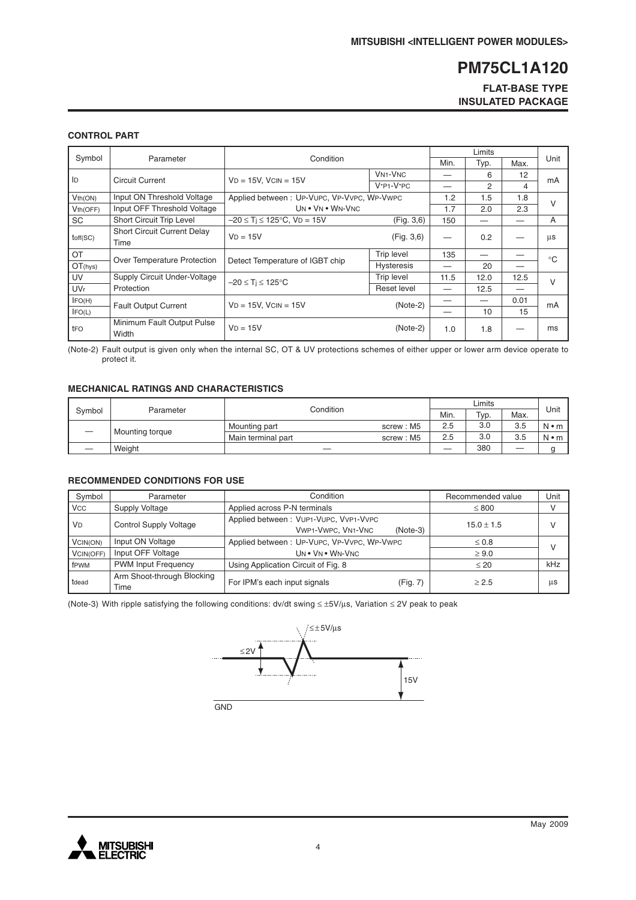#### **FLAT-BASE TYPE INSULATED PACKAGE**

#### **CONTROL PART**

| Symbol          |                                            | Condition<br>Parameter                     |                                      | Min. | Typ. | Max. | Unit         |
|-----------------|--------------------------------------------|--------------------------------------------|--------------------------------------|------|------|------|--------------|
| ID              | <b>Circuit Current</b>                     | $VD = 15V$ , $VCIN = 15V$                  | <b>VN<sub>1</sub>-V<sub>NC</sub></b> |      | 6    | 12   |              |
|                 |                                            |                                            | $V^*P1-V^*PC$                        |      | 2    | 4    | mA           |
| Vth(ON)         | Input ON Threshold Voltage                 | Applied between: UP-VUPC, VP-VVPC, WP-VWPC |                                      | 1.2  | 1.5  | 1.8  | $\vee$       |
| Vth(OFF)        | Input OFF Threshold Voltage                | UN . VN . WN-VNC                           |                                      | 1.7  | 2.0  | 2.3  |              |
| SC              | Short Circuit Trip Level                   | $-20 \le T_i \le 125^{\circ}$ C, VD = 15V  | (Fig. 3, 6)                          | 150  |      |      | A            |
| toff(SC)        | <b>Short Circuit Current Delay</b><br>Time | $VD = 15V$                                 | (Fig. 3, 6)                          |      | 0.2  |      | μs           |
| OT              | Over Temperature Protection                |                                            | Trip level                           | 135  |      |      | $^{\circ}$ C |
| OT(hys)         |                                            | Detect Temperature of IGBT chip            | <b>Hysteresis</b>                    |      | 20   |      |              |
| UV              | Supply Circuit Under-Voltage               | $-20 \leq T_i \leq 125^{\circ}C$           | <b>Trip level</b>                    | 11.5 | 12.0 | 12.5 | $\vee$       |
| UV <sub>r</sub> | Protection                                 |                                            | Reset level                          |      | 12.5 |      |              |
| IFO(H)          | <b>Fault Output Current</b>                | $VD = 15V$ , $VCIN = 15V$                  | $(Note-2)$                           |      |      | 0.01 | mA           |
| IFO(L)          |                                            |                                            |                                      |      | 10   | 15   |              |
| tFO             | Minimum Fault Output Pulse<br>Width        | $VD = 15V$                                 | $(Note-2)$                           | 1.0  | 1.8  |      | ms           |

(Note-2) Fault output is given only when the internal SC, OT & UV protections schemes of either upper or lower arm device operate to protect it.

#### **MECHANICAL RATINGS AND CHARACTERISTICS**

| Svmbol | Parameter       | Condition          | Min.      | Typ. | Max. | Unit    |             |
|--------|-----------------|--------------------|-----------|------|------|---------|-------------|
|        | Mounting torque | Mounting part      | screw: M5 | 2.5  | 3.0  | 3.5     | $N \cdot m$ |
|        |                 | Main terminal part | screw: M5 | 2.5  | 3.0  | 3.5     | $N \cdot m$ |
|        | Weight          |                    |           |      | 380  | —<br>__ |             |

#### **RECOMMENDED CONDITIONS FOR USE**

| Symbol     | Parameter                          | Condition                                                                        | Recommended value | Unit |
|------------|------------------------------------|----------------------------------------------------------------------------------|-------------------|------|
| <b>VCC</b> | Supply Voltage                     | Applied across P-N terminals                                                     | $\leq 800$        |      |
| <b>VD</b>  | <b>Control Supply Voltage</b>      | Applied between: VUP1-VUPC, VVP1-VVPC<br><b>VWP1-VWPC, VN1-VNC</b><br>$(Note-3)$ | $15.0 \pm 1.5$    |      |
| VCIN(ON)   | Input ON Voltage                   | Applied between: UP-VUPC, VP-VVPC, WP-VWPC                                       | $\leq 0.8$        |      |
| VCIN(OFF)  | Input OFF Voltage                  | UN . VN . WN-VNC                                                                 | $\geq 9.0$        |      |
| fPWM       | <b>PWM Input Frequency</b>         | Using Application Circuit of Fig. 8                                              | $\leq 20$         | kHz  |
| tdead      | Arm Shoot-through Blocking<br>Time | For IPM's each input signals<br>(Fig. 7)                                         | > 2.5             | μs   |

(Note-3) With ripple satisfying the following conditions: dv/dt swing ≤ ±5V/µs, Variation ≤ 2V peak to peak



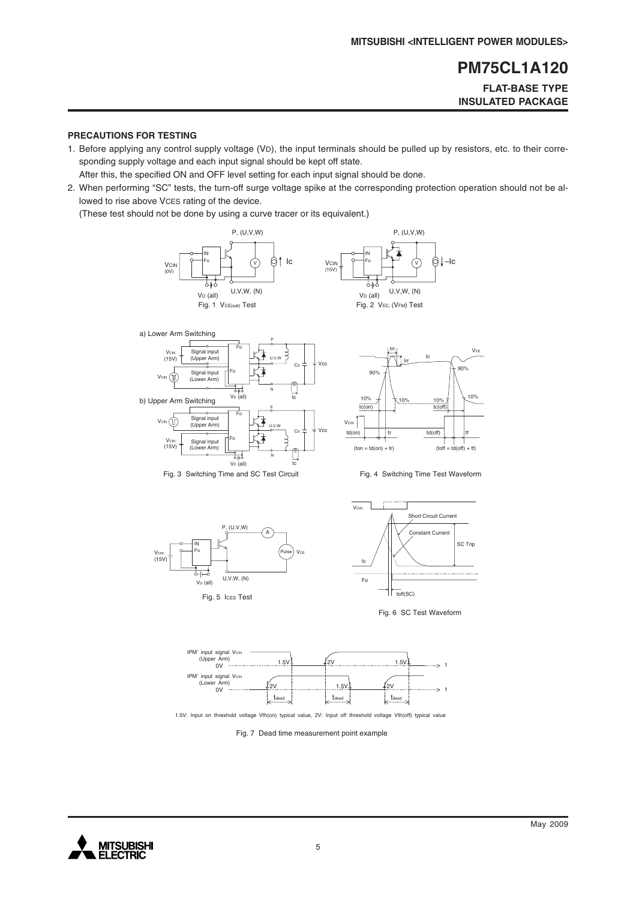#### **FLAT-BASE TYPE INSULATED PACKAGE**

#### **PRECAUTIONS FOR TESTING**

1. Before applying any control supply voltage (VD), the input terminals should be pulled up by resistors, etc. to their corresponding supply voltage and each input signal should be kept off state.

After this, the specified ON and OFF level setting for each input signal should be done.

2. When performing "SC" tests, the turn-off surge voltage spike at the corresponding protection operation should not be allowed to rise above VCES rating of the device.

(These test should not be done by using a curve tracer or its equivalent.)















1.5V: Input on threshold voltage Vth(on) typical value, 2V: Input off threshold voltage Vth(off) typical value

Fig. 7 Dead time measurement point example

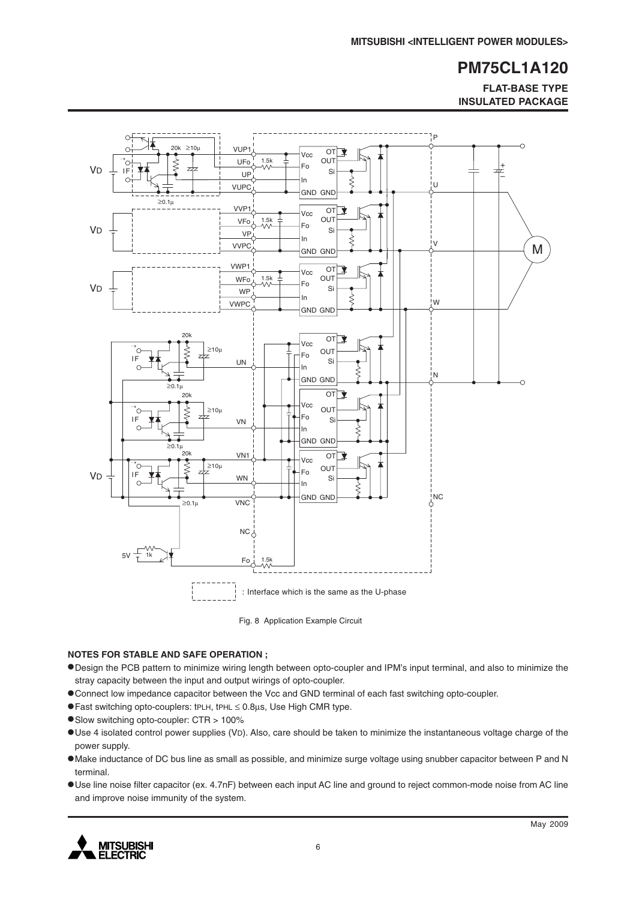**FLAT-BASE TYPE INSULATED PACKAGE**



Fig. 8 Application Example Circuit

#### **NOTES FOR STABLE AND SAFE OPERATION ;**

- •Design the PCB pattern to minimize wiring length between opto-coupler and IPM's input terminal, and also to minimize the stray capacity between the input and output wirings of opto-coupler.
- •Connect low impedance capacitor between the Vcc and GND terminal of each fast switching opto-coupler.
- •Fast switching opto-couplers: tPLH, tPHL <sup>≤</sup> 0.8µs, Use High CMR type.
- •Slow switching opto-coupler: CTR > 100%
- •Use 4 isolated control power supplies (VD). Also, care should be taken to minimize the instantaneous voltage charge of the power supply.
- •Make inductance of DC bus line as small as possible, and minimize surge voltage using snubber capacitor between P and N terminal.
- •Use line noise filter capacitor (ex. 4.7nF) between each input AC line and ground to reject common-mode noise from AC line and improve noise immunity of the system.

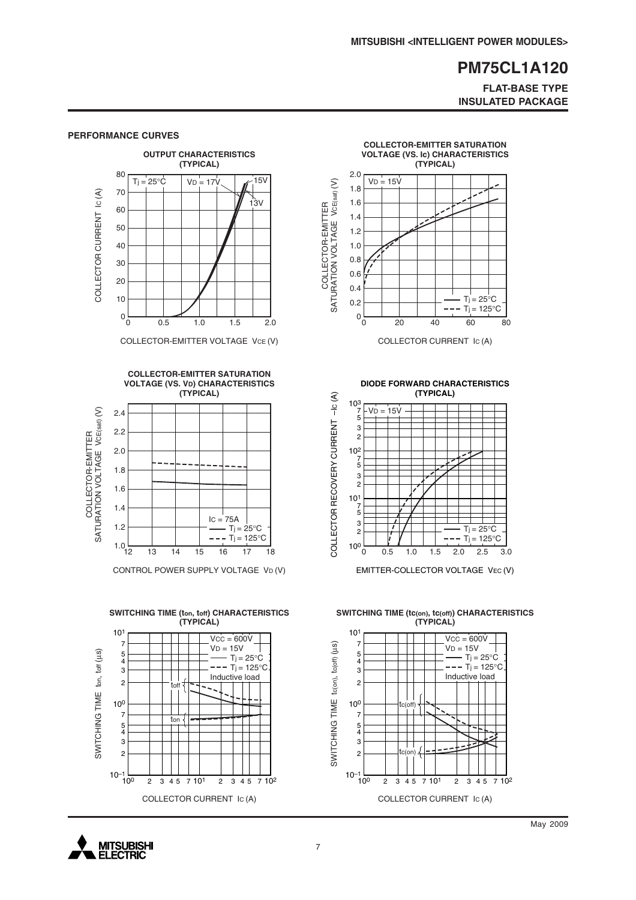#### **FLAT-BASE TYPE INSULATED PACKAGE**



**PERFORMANCE CURVES**

COLLECTOR-EMITTER VOLTAGE VCE (V)



CONTROL POWER SUPPLY VOLTAGE VD (V)





COLLECTOR CURRENT IC (A)

**DIODE FORWARD CHARACTERISTICS**



EMITTER-COLLECTOR VOLTAGE VEC (V)

**SWITCHING TIME (tc(on), tc(off)) CHARACTERISTICS (TYPICAL)**

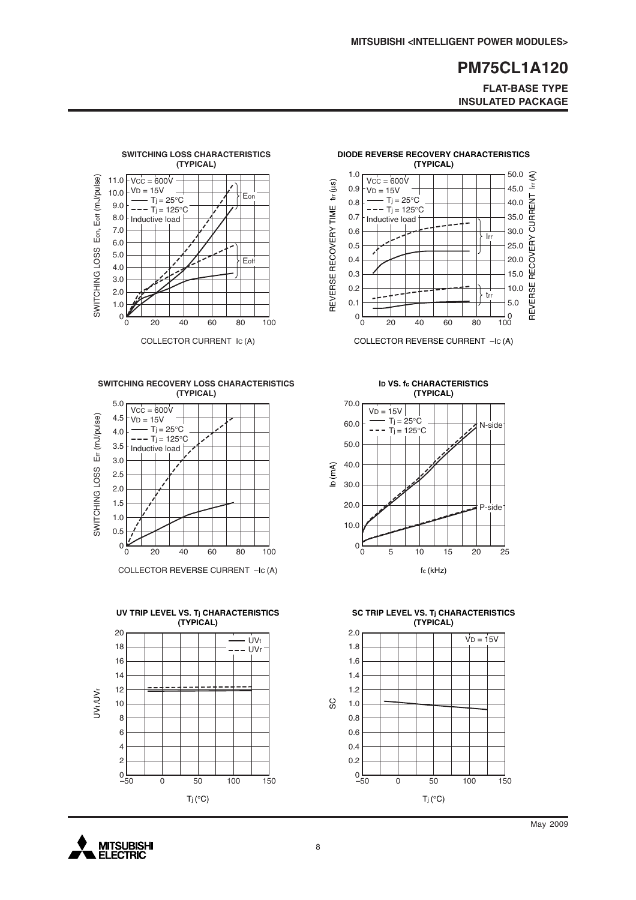**FLAT-BASE TYPE INSULATED PACKAGE**

 $\frac{1}{100}$ 

trr

Irr

10.0

5.0

20.0

25.0

REVERSE RECOVERY CURRENT lrr (A)

REVERSE RECOVERY

15.0

30.0

35.0

40.0

45.0

50.0  $\hat{S}$ 

匡

CURRENT



**SWITCHING RECOVERY LOSS CHARACTERISTICS (TYPICAL)**



COLLECTOR REVERSE CURRENT –IC (A)





0 20 40 60 80 100

COLLECTOR REVERSE CURRENT –IC (A)

**DIODE REVERSE RECOVERY CHARACTERISTICS (TYPICAL)**

 $0\frac{L}{0}$ 0.1 0.2 0.3 0.4 0.5 0.6 0.7 0.8 0.9 1.0

REVERSE RECOVERY TIME trr (µs)

REVERSE RECOVERY TIME

 $tr(\mu s)$ 

 $VCC = 600V$  $V_D = 15V$  $-Tj = 25^{\circ}C$  $--$  T<sub>j</sub> = 125°C Inductive load



**SC TRIP LEVEL VS. Tj CHARACTERISTICS (TYPICAL)**